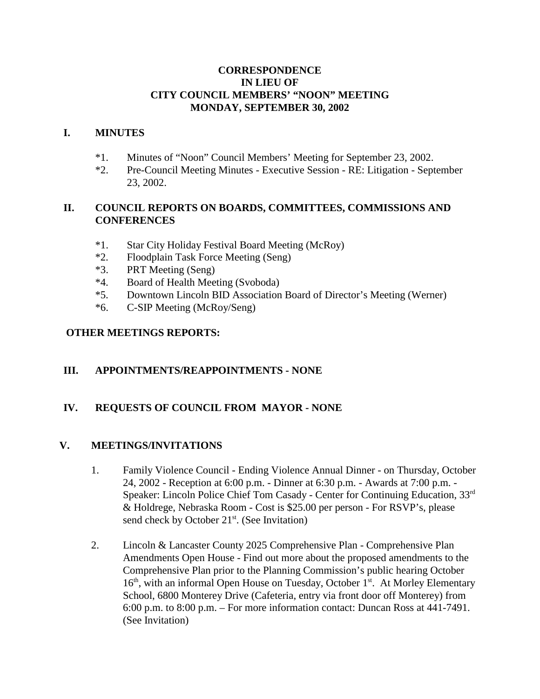### **CORRESPONDENCE IN LIEU OF CITY COUNCIL MEMBERS' "NOON" MEETING MONDAY, SEPTEMBER 30, 2002**

### **I. MINUTES**

- \*1. Minutes of "Noon" Council Members' Meeting for September 23, 2002.
- \*2. Pre-Council Meeting Minutes Executive Session RE: Litigation September 23, 2002.

# **II. COUNCIL REPORTS ON BOARDS, COMMITTEES, COMMISSIONS AND CONFERENCES**

- \*1. Star City Holiday Festival Board Meeting (McRoy)
- \*2. Floodplain Task Force Meeting (Seng)
- \*3. PRT Meeting (Seng)
- \*4. Board of Health Meeting (Svoboda)
- \*5. Downtown Lincoln BID Association Board of Director's Meeting (Werner)
- \*6. C-SIP Meeting (McRoy/Seng)

### **OTHER MEETINGS REPORTS:**

# **III. APPOINTMENTS/REAPPOINTMENTS - NONE**

# **IV. REQUESTS OF COUNCIL FROM MAYOR - NONE**

#### **V. MEETINGS/INVITATIONS**

- 1. Family Violence Council Ending Violence Annual Dinner on Thursday, October 24, 2002 - Reception at 6:00 p.m. - Dinner at 6:30 p.m. - Awards at 7:00 p.m. - Speaker: Lincoln Police Chief Tom Casady - Center for Continuing Education, 33rd & Holdrege, Nebraska Room - Cost is \$25.00 per person - For RSVP's, please send check by October  $21<sup>st</sup>$ . (See Invitation)
- 2. Lincoln & Lancaster County 2025 Comprehensive Plan Comprehensive Plan Amendments Open House - Find out more about the proposed amendments to the Comprehensive Plan prior to the Planning Commission's public hearing October  $16<sup>th</sup>$ , with an informal Open House on Tuesday, October  $1<sup>st</sup>$ . At Morley Elementary School, 6800 Monterey Drive (Cafeteria, entry via front door off Monterey) from 6:00 p.m. to 8:00 p.m. – For more information contact: Duncan Ross at 441-7491. (See Invitation)